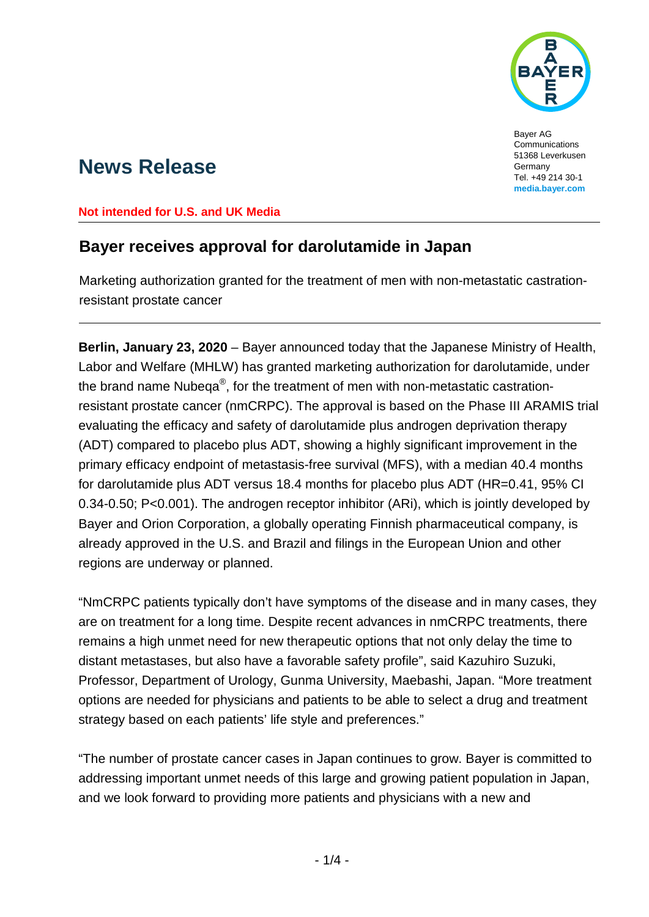

Bayer AG Communications 51368 Leverkusen Germany Tel. +49 214 30-1 **media.bayer.com**

# **News Release**

#### **Not intended for U.S. and UK Media**

## **Bayer receives approval for darolutamide in Japan**

Marketing authorization granted for the treatment of men with non-metastatic castrationresistant prostate cancer

**Berlin, January 23, 2020** – Bayer announced today that the Japanese Ministry of Health, Labor and Welfare (MHLW) has granted marketing authorization for darolutamide, under the brand name Nubeqa®, for the treatment of men with non-metastatic castrationresistant prostate cancer (nmCRPC). The approval is based on the Phase III ARAMIS trial evaluating the efficacy and safety of darolutamide plus androgen deprivation therapy (ADT) compared to placebo plus ADT, showing a highly significant improvement in the primary efficacy endpoint of metastasis-free survival (MFS), with a median 40.4 months for darolutamide plus ADT versus 18.4 months for placebo plus ADT (HR=0.41, 95% CI 0.34-0.50; P<0.001). The androgen receptor inhibitor (ARi), which is jointly developed by Bayer and Orion Corporation, a globally operating Finnish pharmaceutical company, is already approved in the U.S. and Brazil and filings in the European Union and other regions are underway or planned.

"NmCRPC patients typically don't have symptoms of the disease and in many cases, they are on treatment for a long time. Despite recent advances in nmCRPC treatments, there remains a high unmet need for new therapeutic options that not only delay the time to distant metastases, but also have a favorable safety profile", said Kazuhiro Suzuki, Professor, Department of Urology, Gunma University, Maebashi, Japan. "More treatment options are needed for physicians and patients to be able to select a drug and treatment strategy based on each patients' life style and preferences."

"The number of prostate cancer cases in Japan continues to grow. Bayer is committed to addressing important unmet needs of this large and growing patient population in Japan, and we look forward to providing more patients and physicians with a new and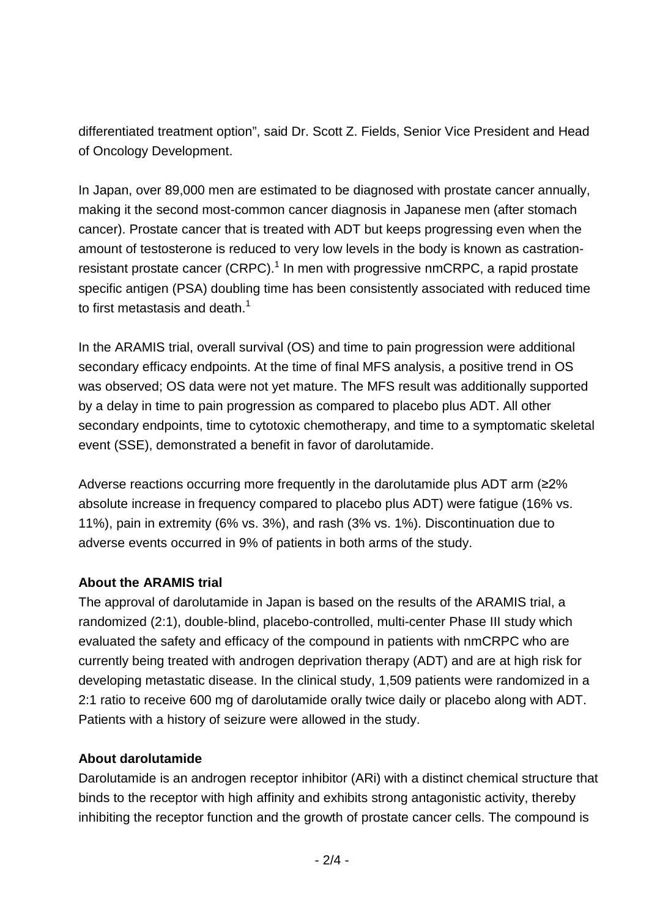differentiated treatment option", said Dr. Scott Z. Fields, Senior Vice President and Head of Oncology Development.

In Japan, over 89,000 men are estimated to be diagnosed with prostate cancer annually, making it the second most-common cancer diagnosis in Japanese men (after stomach cancer). Prostate cancer that is treated with ADT but keeps progressing even when the amount of testosterone is reduced to very low levels in the body is known as castrationresistant prostate cancer (CRPC).<sup>1</sup> In men with progressive nmCRPC, a rapid prostate specific antigen (PSA) doubling time has been consistently associated with reduced time to first metastasis and death.<sup>1</sup>

In the ARAMIS trial, overall survival (OS) and time to pain progression were additional secondary efficacy endpoints. At the time of final MFS analysis, a positive trend in OS was observed; OS data were not yet mature. The MFS result was additionally supported by a delay in time to pain progression as compared to placebo plus ADT. All other secondary endpoints, time to cytotoxic chemotherapy, and time to a symptomatic skeletal event (SSE), demonstrated a benefit in favor of darolutamide.

Adverse reactions occurring more frequently in the darolutamide plus ADT arm (≥2% absolute increase in frequency compared to placebo plus ADT) were fatigue (16% vs. 11%), pain in extremity (6% vs. 3%), and rash (3% vs. 1%). Discontinuation due to adverse events occurred in 9% of patients in both arms of the study.

## **About the ARAMIS trial**

The approval of darolutamide in Japan is based on the results of the ARAMIS trial, a randomized (2:1), double-blind, placebo-controlled, multi-center Phase III study which evaluated the safety and efficacy of the compound in patients with nmCRPC who are currently being treated with androgen deprivation therapy (ADT) and are at high risk for developing metastatic disease. In the clinical study, 1,509 patients were randomized in a 2:1 ratio to receive 600 mg of darolutamide orally twice daily or placebo along with ADT. Patients with a history of seizure were allowed in the study.

## **About darolutamide**

Darolutamide is an androgen receptor inhibitor (ARi) with a distinct chemical structure that binds to the receptor with high affinity and exhibits strong antagonistic activity, thereby inhibiting the receptor function and the growth of prostate cancer cells. The compound is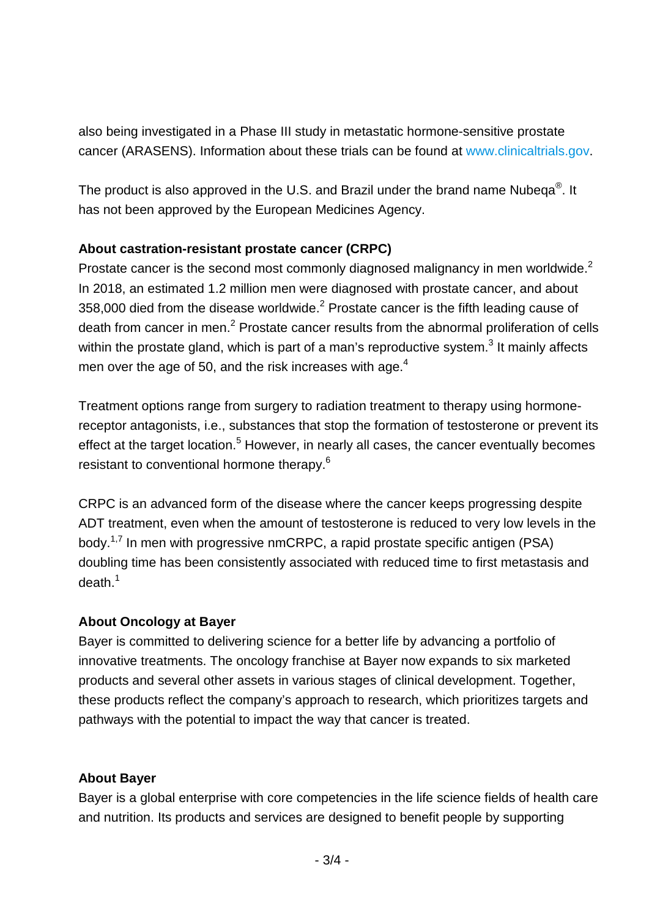also being investigated in a Phase III study in metastatic hormone-sensitive prostate cancer (ARASENS). Information about these trials can be found at [www.clinicaltrials.gov.](http://www.clinicaltrials.gov/)

The product is also approved in the U.S. and Brazil under the brand name Nubeqa<sup>®</sup>. It has not been approved by the European Medicines Agency.

#### **About castration-resistant prostate cancer (CRPC)**

Prostate cancer is the second most commonly diagnosed malignancy in men worldwide.<sup>2</sup> In 2018, an estimated 1.2 million men were diagnosed with prostate cancer, and about 358,000 died from the disease worldwide. $<sup>2</sup>$  Prostate cancer is the fifth leading cause of</sup> death from cancer in men.<sup>2</sup> Prostate cancer results from the abnormal proliferation of cells within the prostate gland, which is part of a man's reproductive system. $3$  It mainly affects men over the age of 50, and the risk increases with age.<sup>4</sup>

Treatment options range from surgery to radiation treatment to therapy using hormonereceptor antagonists, i.e., substances that stop the formation of testosterone or prevent its effect at the target location.<sup>5</sup> However, in nearly all cases, the cancer eventually becomes resistant to conventional hormone therapy.<sup>6</sup>

CRPC is an advanced form of the disease where the cancer keeps progressing despite ADT treatment, even when the amount of testosterone is reduced to very low levels in the body.<sup>1,7</sup> In men with progressive nmCRPC, a rapid prostate specific antigen (PSA) doubling time has been consistently associated with reduced time to first metastasis and death.<sup>1</sup>

## **About Oncology at Bayer**

Bayer is committed to delivering science for a better life by advancing a portfolio of innovative treatments. The oncology franchise at Bayer now expands to six marketed products and several other assets in various stages of clinical development. Together, these products reflect the company's approach to research, which prioritizes targets and pathways with the potential to impact the way that cancer is treated.

## **About Bayer**

Bayer is a global enterprise with core competencies in the life science fields of health care and nutrition. Its products and services are designed to benefit people by supporting